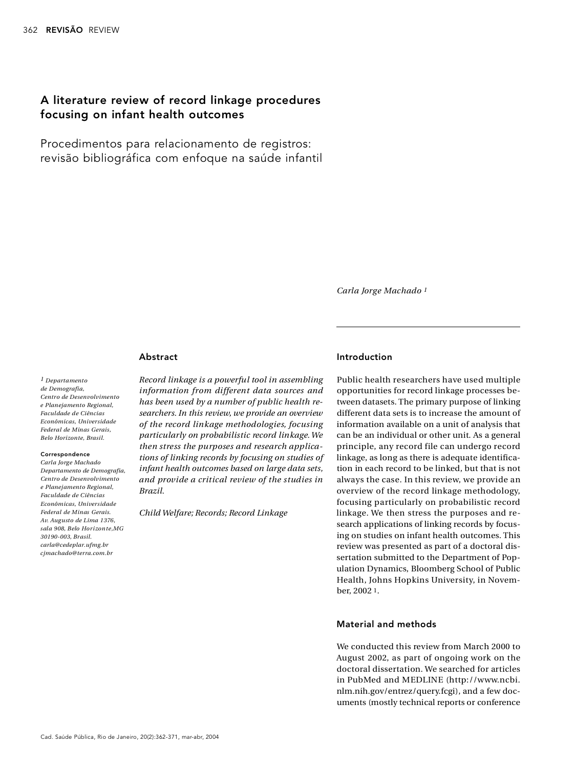# A literature review of record linkage procedures focusing on infant health outcomes

Procedimentos para relacionamento de registros: revisão bibliográfica com enfoque na saúde infantil

*Ca rla Jorge Machado 1*

## **Abstract**

*1 De p a rtamento*   $de$  *Demografia*, *Centro de Desenvolvimento*  $e$  *Planejamento Regional. Faculdade de Ciências E c o n ô m i c a s , Un i ve r s i d a d e Federal de Minas Gerais,*  $Belo$  *Horizonte*, *Brasil.* 

#### Correspondence

*Ca rla Jorge Ma c h a d o De p a rtamento de De m o g ra f i a, Ce n t ro de De s e n volvimento*   $e$  *Planejamento Regional. Faculdade de Ci ê n c i a s E c o n ô m i c a s , Un i ve r s i d a d e Federal de Minas Gerais. Av. Augusto de Lima 1376, sala 908, Belo Ho r i zo n t e ,M G 3 0 1 9 0 - 0 0 3 , Bra s i l .*  $card \e$  *carla@cedeplar.ufmg.br*  $c$ *j machado@terra.com.br* 

*Re c o rd linkage is a pow e rful tool in assembling information from different data sources and has been used by a number of public health res e a rc h e r s . In this re v i ew, we provide an ove rv i ew of the record linkage methodologies, focusing particularly on probabilistic record linkage. We* then stress the purposes and research applica*tions of linking re c o rds by focusing on studies of infant health outcomes based on large data sets, and provide a critical review of the studies in Bra z i l .*

*Child Welfare; Records; Record Linkage* 

## Introduction

Public health researchers have used multiple opportunities for record linkage processes between datasets. The primary purpose of linking different data sets is to increase the amount of information available on a unit of analysis that can be an individual or other unit. As a general principle, any record file can undergo record linkage, as long as there is adequate identification in each record to be linked, but that is not always the case. In this review, we provide an overview of the record linkage methodology, focusing particularly on probabilistic record linkage. We then stress the purposes and research applications of linking records by focusing on studies on infant health outcomes. This review was presented as part of a doctoral dissertation submitted to the Department of Population Dynamics, Bloomberg School of Public Health, Johns Hopkins University, in November, 2002<sup>1</sup>.

## Material and methods

We conducted this review from March 2000 to August 2002, as part of ongoing work on the doctoral dissertation. We searched for articles in PubMed and MEDLINE (http://www.ncbi. nlm.nih.gov/entrez/query.fcgi), and a few documents (mostly technical reports or conference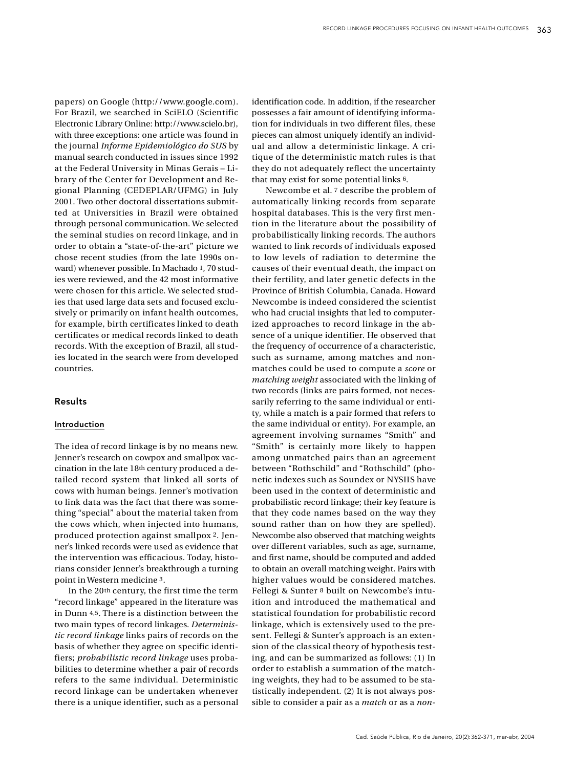papers) on Google (http://www.google.com). For Brazil, we searched in SciELO (Scientific Electronic Library Online: http://www.scielo.br), with three exceptions: one article was found in the journal *Informe Epidemiológico do SUS* by manual search conducted in issues since 1992 at the Federal University in Minas Gerais - Library of the Center for Development and Regional Planning (CEDEPLAR/UFMG) in July 2001. Two other doctoral dissertations submitted at Universities in Brazil were obtained through personal communication. We selected the seminal studies on record linkage, and in order to obtain a "state-of-the-art" picture we chose recent studies (from the late 1990s onward) whenever possible. In Machado 1, 70 studies were reviewed, and the 42 most informative were chosen for this article. We selected studies that used large data sets and focused exclusively or primarily on infant health outcomes, for example, birth certificates linked to death certificates or medical records linked to death records. With the exception of Brazil, all studies located in the search were from developed countries

## **Results**

## **Introduction**

The idea of record linkage is by no means new. Jenner's research on cowpox and smallpox vaccination in the late 18th century produced a detailed record system that linked all sorts of cows with human beings. Jenner's motivation to link data was the fact that there was something "special" about the material taken from the cows which, when injected into humans, produced protection against smallpox 2. Jenner's linked records were used as evidence that the intervention was efficacious. Today, historians consider Jenner's breakthrough a turning point in Western medicine 3.

In the 20th century, the first time the term "record linkage" appeared in the literature was in Dunn 4,5. There is a distinction between the two main types of record linkages. *Deterministic record linkage* links pairs of records on the basis of whether they agree on specific identifiers; *probabilistic record linkage* uses probabilities to determine whether a pair of records refers to the same individual. Deterministic record linkage can be undertaken whenever there is a unique identifier, such as a personal

identification code. In addition, if the researcher possesses a fair amount of identifying information for individuals in two different files, these pieces can almost uniquely identify an individual and allow a deterministic linkage. A critique of the deterministic match rules is that they do not adequately reflect the uncertainty that may exist for some potential links 6.

Newcombe et al. 7 describe the problem of automatically linking records from separate hospital databases. This is the very first mention in the literature about the possibility of probabilistically linking records. The authors wanted to link records of individuals exposed to low levels of radiation to determine the causes of their eventual death, the impact on their fertility, and later genetic defects in the Province of British Columbia, Canada, Howard Newcombe is indeed considered the scientist who had crucial insights that led to computerized approaches to record linkage in the absence of a unique identifier. He observed that the frequency of occurrence of a characteristic, such as surname, among matches and nonmatches could be used to compute a *score* or *matching weight* associated with the linking of two records (links are pairs formed, not necessarily referring to the same individual or entity, while a match is a pair formed that refers to the same individual or entity). For example, an agreement involving surnames "Smith" and "Smith" is certainly more likely to happen among unmatched pairs than an agreement between "Rothschild" and "Rothschild" (phonetic indexes such as Soundex or NYSIIS have been used in the context of deterministic and probabilistic record linkage; their key feature is that they code names based on the way they sound rather than on how they are spelled). Newcombe also observed that matching weights over different variables, such as age, surname, and first name, should be computed and added to obtain an overall matching weight. Pairs with higher values would be considered matches. Fellegi & Sunter 8 built on Newcombe's intuition and introduced the mathematical and statistical foundation for probabilistic record linkage, which is extensively used to the present. Fellegi & Sunter's approach is an extension of the classical theory of hypothesis testing, and can be summarized as follows: (1) In order to establish a summation of the matching weights, they had to be assumed to be statistically independent. (2) It is not always possible to consider a pair as a *match* or as a *non*-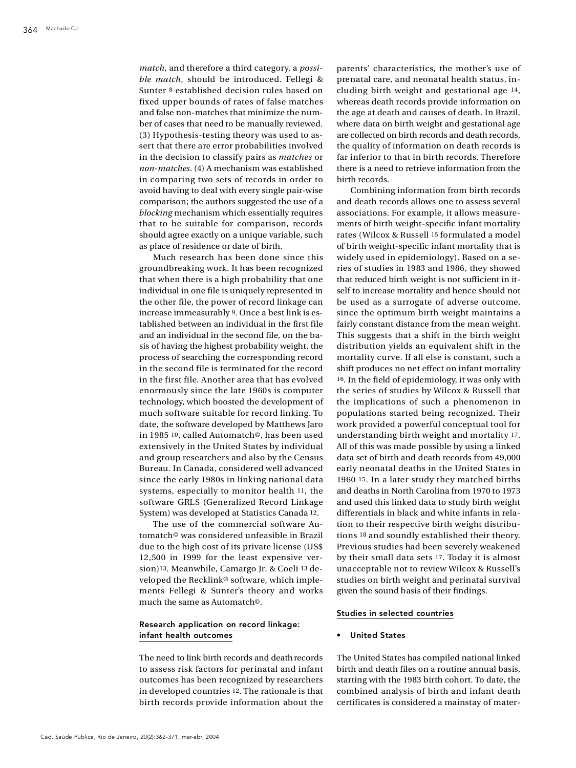*match*, and therefore a third category, a *possible match*, should be introduced. Fellegi & Sunter 8 established decision rules based on fixed upper bounds of rates of false matches and false non-matches that minimize the number of cases that need to be manually reviewed. (3) Hypothesis-testing theory was used to assert that there are error probabilities involved in the decision to classify pairs as *matches* or *non-matches.* (4) A mechanism was established in comparing two sets of records in order to avoid having to deal with every single pair-wise comparison; the authors suggested the use of a *blocking* mechanism which essentially requires that to be suitable for comparison, records should agree exactly on a unique variable, such as place of residence or date of birth.

Much research has been done since this groundbreaking work. It has been recognized that when there is a high probability that one individual in one file is uniquely represented in the other file, the power of record linkage can increase immeasurably 9. Once a best link is established between an individual in the first file and an individual in the second file, on the basis of having the highest probability weight, the process of searching the corresponding record in the second file is terminated for the record in the first file. Another area that has evolved enormously since the late 1960s is computer technology, which boosted the development of much software suitable for record linking. To date, the software developed by Matthews Jaro in 1985 <sup>10</sup>, called Automatch<sup>®</sup>, has been used extensively in the United States by individual and group researchers and also by the Census Bureau. In Canada, considered well advanced since the early 1980s in linking national data systems, especially to monitor health 11, the software GRLS (Generalized Record Linkage System) was developed at Statistics Canada 12.

The use of the commercial software Auto match© was considered unfeasible in Brazil due to the high cost of its private license (US\$)  $12,500$  in 1999 for the least expensive version)<sup>13</sup>. Meanwhile, Camargo Jr. & Coeli <sup>13</sup> developed the Recklink<sup>®</sup> software, which implements Fellegi & Sunter's theory and works much the same as Automatch<sup>®</sup>.

## Research application on record linkage: infant health outcomes

The need to link birth records and death records to assess risk factors for perinatal and infant outcomes has been recognized by researchers in developed countries 12. The rationale is that birth records provide information about the parents' characteristics, the mother's use of p renatal care, and neonatal health status, including birth weight and gestational age  $14$ , whereas death records provide information on the age at death and causes of death. In Brazil, where data on birth weight and gestational age are collected on birth records and death records, the quality of information on death records is far inferior to that in birth records. Therefore there is a need to retrieve information from the birth records.

Combining information from birth records and death records allows one to assess several associations. For example, it allows measurements of birth weight-specific infant mortality rates (Wilcox & Russell 15 formulated a model of birth weight-specific infant mortality that is widely used in epidemiology). Based on a series of studies in 1983 and 1986, they showed that reduced birth weight is not sufficient in itself to increase mortality and hence should not be used as a surrogate of adverse outcome, since the optimum birth weight maintains a fairly constant distance from the mean weight. This suggests that a shift in the birth weight distribution yields an equivalent shift in the mortality curve. If all else is constant, such a shift produces no net effect on infant mortality 16. In the field of epidemiology, it was only with the series of studies by Wilcox & Russell that the implications of such a phenomenon in populations started being recognized. Their work provided a powerful conceptual tool for understanding birth weight and mortality 17. All of this was made possible by using a linked data set of birth and death records from 49,000 early neonatal deaths in the United States in 1960 15. In a later study they matched births and deaths in North Carolina from 1970 to 1973 and used this linked data to study birth weight differentials in black and white infants in relation to their respective birth weight distributions 18 and soundly established their theory. Previous studies had been severely weakened by their small data sets 17. Today it is almost unacceptable not to review Wilcox & Russell's studies on birth weight and perinatal survival given the sound basis of their findings.

#### Studies in selected countries

#### • United States

The United States has compiled national linked birth and death files on a routine annual basis, starting with the 1983 birth cohort. To date, the combined analysis of birth and infant death certificates is considered a mainstay of mater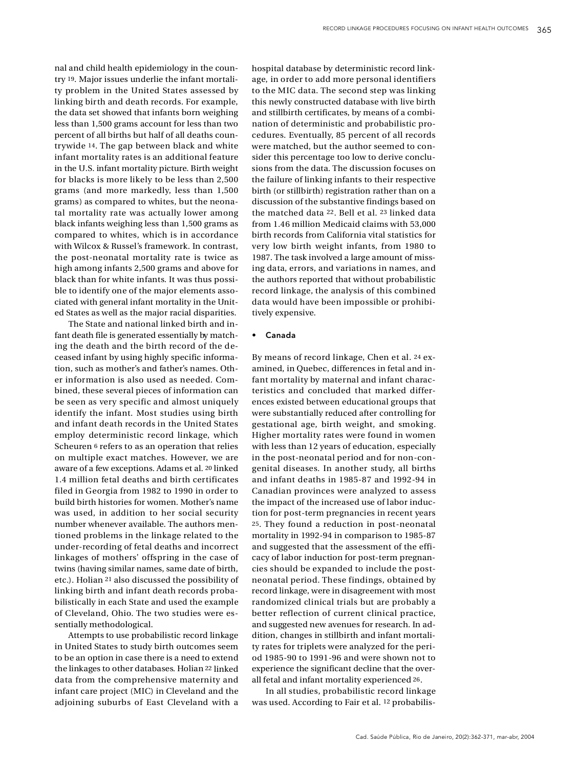nal and child health epidemiology in the country <sup>19</sup>. Major issues underlie the infant mortality problem in the United States assessed by linking birth and death records. For example, the data set showed that infants born weighing less than 1,500 grams account for less than two percent of all births but half of all deaths countrywide <sup>14</sup>. The gap between black and white infant mortality rates is an additional feature in the U.S. infant mortality picture. Birth weight for blacks is more likely to be less than 2,500 grams (and more markedly, less than 1,500 grams) as compared to whites, but the neonatal mortality rate was actually lower among black infants weighing less than 1,500 grams as compared to whites, which is in accordance with Wilcox & Russel's framework. In contrast, the post-neonatal mortality rate is twice as high among infants 2,500 grams and above for black than for white infants. It was thus possible to identify one of the major elements associated with general infant mortality in the United States as well as the major racial disparities.

The State and national linked birth and infant death file is generated essentially by matching the death and the birth record of the deceased infant by using highly specific inform ation, such as mother's and father's names. Other information is also used as needed. Combined, these several pieces of information can be seen as very specific and almost uniquely identify the infant. Most studies using birth and infant death records in the United States employ deterministic record linkage, which Scheuren 6 refers to as an operation that relies on multiple exact matches. However, we are aware of a few exceptions. Adams et al. 20 linked 1.4 million fetal deaths and birth certificates filed in Georgia from 1982 to 1990 in order to build birth histories for women. Mother's name was used, in addition to her social security number whenever available. The authors mentioned problems in the linkage related to the under-recording of fetal deaths and incorrect linkages of mothers' offspring in the case of twins (having similar names, same date of birth, etc.). Holian <sup>21</sup> also discussed the possibility of linking birth and infant death records probabilistically in each State and used the example of Cleveland, Ohio. The two studies were essentially methodological.

Attempts to use probabilistic record linkage in United States to study birth outcomes seem to be an option in case there is a need to extend the linkages to other databases. Holian <sup>22</sup> linked data from the comprehensive maternity and infant care project (MIC) in Cleveland and the adjoining suburbs of East Cleveland with a hospital database by deterministic record linkage, in order to add more personal identifiers to the MIC data. The second step was linking this newly constructed database with live birth and stillbirth certificates, by means of a combination of deterministic and probabilistic procedures. Eventually, 85 percent of all records were matched, but the author seemed to consider this percentage too low to derive conclusions from the data. The discussion focuses on the failure of linking infants to their respective birth (or stillbirth) registration rather than on a discussion of the substantive findings based on the matched data 22. Bell et al. 23 linked data from 1.46 million Medicaid claims with 53,000 birth records from California vital statistics for very low birth weight infants, from 1980 to 1987. The task involved a large amount of missing data, errors, and variations in names, and the authors reported that without probabilistic record linkage, the analysis of this combined data would have been impossible or prohibitively expensive.

#### • Canada

By means of record linkage, Chen et al. 24 examined, in Quebec, differences in fetal and infant mortality by maternal and infant characteristics and concluded that marked differences existed between educational groups that were substantially reduced after controlling for gestational age, birth weight, and smoking. Higher mortality rates were found in women with less than 12 years of education, especially in the post-neonatal period and for non-congenital diseases. In another study, all births and infant deaths in 1985-87 and 1992-94 in Canadian provinces were analyzed to assess the impact of the increased use of labor induction for post-term pregnancies in recent years 25. They found a reduction in post-neonatal mortality in 1992-94 in comparison to 1985-87 and suggested that the assessment of the efficacy of labor induction for post-term pregnancies should be expanded to include the postneonatal period. These findings, obtained by record linkage, were in disagreement with most randomized clinical trials but are probably a better reflection of current clinical practice, and suggested new avenues for research. In addition, changes in stillbirth and infant mortality rates for triplets were analyzed for the period 1985-90 to 1991-96 and were shown not to experience the significant decline that the overall fetal and infant mortality experienced 26.

In all studies, probabilistic record linkage was used. According to Fair et al. <sup>12</sup> probabilis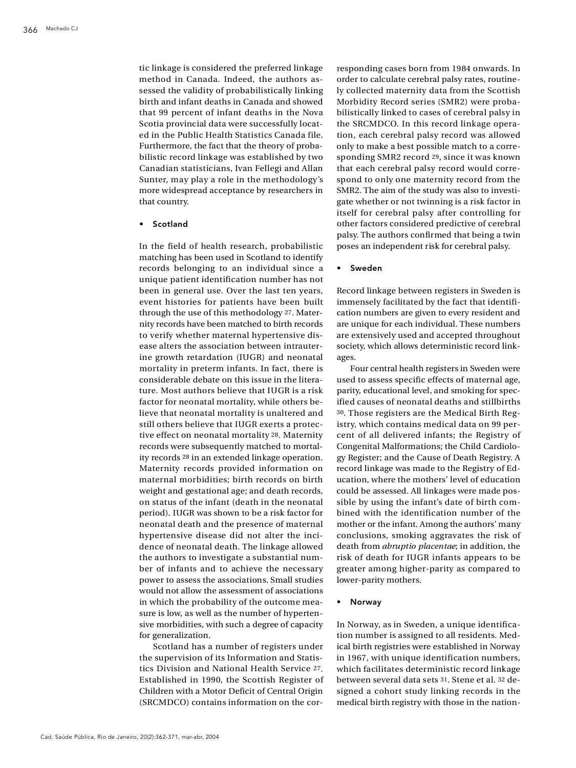tic linkage is considered the preferred linkage method in Canada. Indeed, the authors assessed the validity of probabilistically linking birth and infant deaths in Canada and showed that 99 percent of infant deaths in the Nova Scotia provincial data were successfully located in the Public Health Statistics Canada file. Furthermore, the fact that the theory of probabilistic record linkage was established by two Canadian statisticians, Ivan Fellegi and Allan Sunter, may play a role in the methodology's more widespread acceptance by researchers in that country.

## • Scotland

In the field of health research, probabilistic matching has been used in Scotland to identify records belonging to an individual since a unique patient identification number has not been in general use. Over the last ten years, e vent histories for patients have been built through the use of this methodology 27. Maternity records have been matched to birth records to verify whether maternal hypertensive disease alters the association between intrauterine growth retardation (IUGR) and neonatal mortality in preterm infants. In fact, there is considerable debate on this issue in the literature. Most authors believe that IUGR is a risk factor for neonatal mortality, while others believe that neonatal mortality is unaltered and still others believe that IUGR exerts a protective effect on neonatal mortality 28. Maternity records were subsequently matched to mortality records <sup>28</sup> in an extended linkage operation. Maternity records provided information on maternal morbidities; birth records on birth weight and gestational age; and death records, on status of the infant (death in the neonatal period). IUGR was shown to be a risk factor for neonatal death and the presence of maternal hypertensive disease did not alter the incidence of neonatal death. The linkage allowed the authors to investigate a substantial number of infants and to achieve the necessary power to assess the associations. Small studies would not allow the assessment of associations in which the probability of the outcome measure is low, as well as the number of hypertensive morbidities, with such a degree of capacity for generalization.

Scotland has a number of registers under the supervision of its Information and Statistics Division and National Health Service 27. Established in 1990, the Scottish Register of Children with a Motor Deficit of Central Origin  $(SRCMDCO)$  contains information on the corresponding cases born from 1984 onwards. In order to calculate cerebral palsy rates, routinely collected maternity data from the Scottish Morbidity Record series (SMR2) were probabilistically linked to cases of cerebral palsy in the SRCMDCO. In this record linkage operation, each cerebral palsy record was allowed only to make a best possible match to a corresponding SMR2 record <sup>29</sup>, since it was known that each cerebral palsy record would correspond to only one maternity record from the SMR2. The aim of the study was also to investigate whether or not twinning is a risk factor in itself for cerebral palsy after controlling for other factors considered predictive of cerebral palsy. The authors confirmed that being a twin poses an independent risk for cerebral palsy.

#### **Sweden**

Record linkage between registers in Sweden is immensely facilitated by the fact that identification numbers are given to every resident and are unique for each individual. These numbers are extensively used and accepted throughout society, which allows deterministic record linkages.

Four central health registers in Sweden were used to assess specific effects of maternal age, parity, educational level, and smoking for specified causes of neonatal deaths and stillbirths 30. Those registers are the Medical Birth Registry, which contains medical data on 99 percent of all delivered infants; the Registry of Congenital Malformations; the Child Cardiology Register; and the Cause of Death Registry. A record linkage was made to the Registry of Education, where the mothers' level of education could be assessed. All linkages were made possible by using the infant's date of birth combined with the identification number of the mother or the infant. Among the authors' many conclusions, smoking aggravates the risk of death from *abruptio placentae*; in addition, the risk of death for IUGR infants appears to be greater among higher-parity as compared to lower-parity mothers.

## • Norway

In Norway, as in Sweden, a unique identification number is assigned to all residents. Medical birth registries were established in Norway in 1967, with unique identification numbers, which facilitates deterministic record linkage between several data sets 31. Stene et al. 32 designed a cohort study linking records in the medical birth registry with those in the nation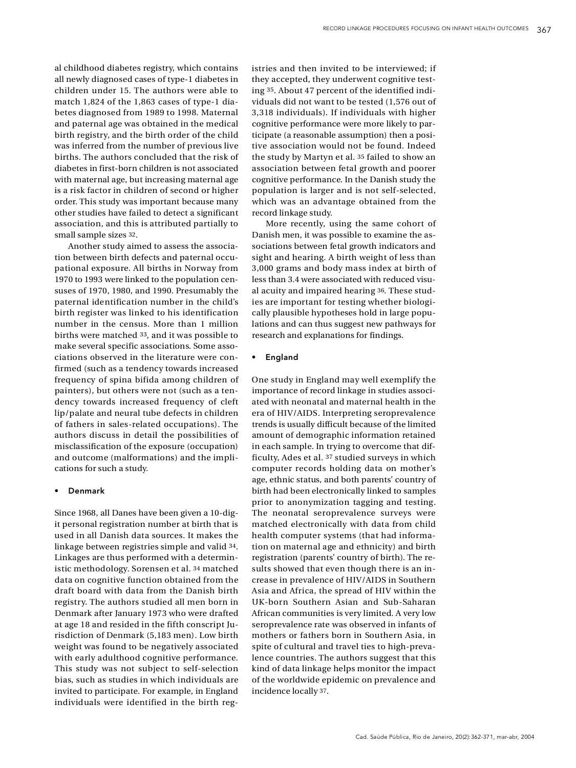al childhood diabetes registry, which contains all newly diagnosed cases of type-1 diabetes in children under 15. The authors were able to match 1,824 of the 1,863 cases of type-1 diabetes diagnosed from 1989 to 1998. Maternal and paternal age was obtained in the medical birth registry, and the birth order of the child was inferred from the number of previous live births. The authors concluded that the risk of diabetes in first-born children is not associated with maternal age, but increasing maternal age is a risk factor in children of second or higher order. This study was important because many other studies have failed to detect a significant association, and this is attributed partially to small sample sizes 32.

Another study aimed to assess the association between birth defects and paternal occupational exposure. All births in Norway from 1970 to 1993 were linked to the population censuses of 1970, 1980, and 1990. Presumably the paternal identification number in the child's birth register was linked to his identification number in the census. More than 1 million births were matched 33, and it was possible to make several specific associations. Some associations observed in the literature were confirmed (such as a tendency towards increased frequency of spina bifida among children of painters), but others were not (such as a tendency towards increased frequency of cleft lip/palate and neural tube defects in children of fathers in sales-related occupations). The authors discuss in detail the possibilities of misclassification of the exposure (occupation) and outcome (malformations) and the implications for such a study.

#### Denmark

Since 1968, all Danes have been given a 10-digit personal registration number at birth that is used in all Danish data sources. It makes the linkage between registries simple and valid 34. Linkages are thus performed with a deterministic methodology. Sorensen et al. 34 matched data on cognitive function obtained from the draft board with data from the Danish birth registry. The authors studied all men born in Denmark after January 1973 who were drafted at age 18 and resided in the fifth conscript Jurisdiction of Denmark (5,183 men). Low birth weight was found to be negatively associated with early adulthood cognitive performance. This study was not subject to self-selection bias, such as studies in which individuals are invited to participate. For example, in England individuals were identified in the birth registries and then invited to be interviewed: if they accepted, they underwent cognitive testing 35. About 47 percent of the identified individuals did not want to be tested (1,576 out of 3,318 individuals). If individuals with higher cognitive performance were more likely to participate (a reasonable assumption) then a positive association would not be found. Indeed the study by Martyn et al. 35 failed to show an association between fetal growth and poorer cognitive performance. In the Danish study the population is larger and is not self-selected, which was an advantage obtained from the record linkage study.

More recently, using the same cohort of Danish men, it was possible to examine the associations between fetal growth indicators and sight and hearing. A birth weight of less than 3,000 grams and body mass index at birth of less than 3.4 were associated with reduced visual acuity and impaired hearing 36. These studies are important for testing whether biologically plausible hypotheses hold in large populations and can thus suggest new pathways for research and explanations for findings.

### **England**

One study in England may well exemplify the importance of record linkage in studies associated with neonatal and maternal health in the era of HIV/AIDS. Interpreting seroprevalence trends is usually difficult because of the limited amount of demographic information retained in each sample. In trying to overcome that difficulty, Ades et al. <sup>37</sup> studied surveys in which computer records holding data on mother's age, ethnic status, and both parents' country of birth had been electronically linked to samples prior to anonymization tagging and testing. The neonatal seroprevalence surveys were matched electronically with data from child health computer systems (that had information on maternal age and ethnicity) and birth registration (parents' country of birth). The results showed that even though there is an increase in prevalence of HIV/AIDS in Southern Asia and Africa, the spread of HIV within the UK-born Southern Asian and Sub-Saharan African communities is very limited. A very low seroprevalence rate was observed in infants of mothers or fathers born in Southern Asia, in spite of cultural and travel ties to high-prevalence countries. The authors suggest that this kind of data linkage helps monitor the impact of the worldwide epidemic on prevalence and incidence locally 37.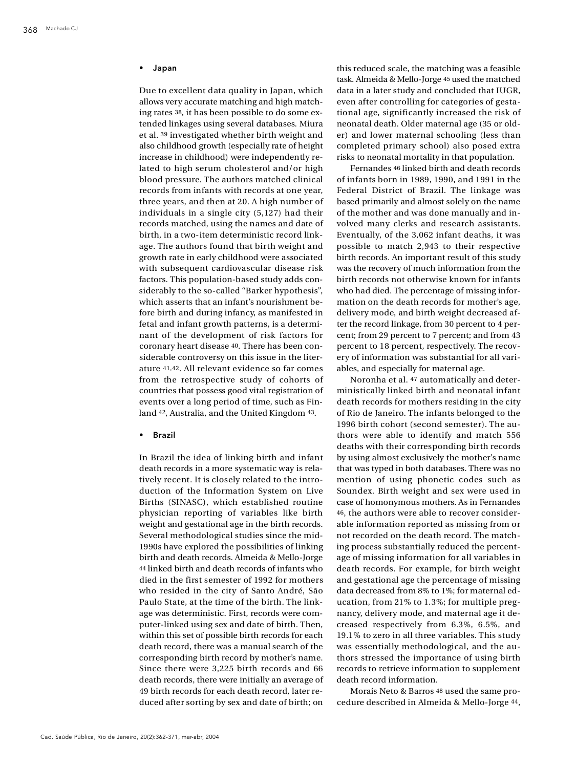#### **Japan**

Due to excellent data quality in Japan, which allows very accurate matching and high matching rates 38, it has been possible to do some extended linkages using several databases. Miura et al. 39 investigated whether birth weight and also childhood growth (especially rate of height increase in childhood) were independently related to high serum cholesterol and/or high blood pressure. The authors matched clinical records from infants with records at one year, three years, and then at 20. A high number of individuals in a single city (5,127) had their records matched, using the names and date of birth, in a two-item deterministic record linkage. The authors found that birth weight and growth rate in early childhood were associated with subsequent cardiovascular disease risk factors. This population-based study adds considerably to the so-called "Barker hypothesis", which asserts that an infant's nourishment before birth and during infancy, as manifested in fetal and infant growth patterns, is a determinant of the development of risk factors for coronary heart disease 40. There has been considerable controversy on this issue in the literature 41,42. All relevant evidence so far comes from the retrospective study of cohorts of countries that possess good vital registration of events over a long period of time, such as Finland 42, Australia, and the United Kingdom 43.

• Brazil

In Brazil the idea of linking birth and infant death records in a more systematic way is relatively recent. It is closely related to the introduction of the Information System on Live Births (SINASC), which established routine physician reporting of variables like birth weight and gestational age in the birth records. Several methodological studies since the mid-1990s have explored the possibilities of linking birth and death records. Almeida & Mello-Jorge 44 linked birth and death records of infants who died in the first semester of 1992 for mothers who resided in the city of Santo André, São Paulo State, at the time of the birth. The linkage was deterministic. First, records were computer-linked using sex and date of birth. Then, within this set of possible birth records for each death record, there was a manual search of the corresponding birth record by mother's name. Since there were 3,225 birth records and 66 death records, there were initially an average of 49 birth records for each death record, later reduced after sorting by sex and date of birth; on this reduced scale, the matching was a feasible task. Almeida & Mello-Jorge 45 used the matched data in a later study and concluded that IUGR, e ven after controlling for categories of gestational age, significantly increased the risk of neonatal death. Older maternal age (35 or older) and lower maternal schooling (less than completed primary school) also posed extra risks to neonatal mortality in that population.

Fernandes 46 linked birth and death records of infants born in 1989, 1990, and 1991 in the Federal District of Brazil. The linkage was based primarily and almost solely on the name of the mother and was done manually and involved many clerks and research assistants. Eventually, of the 3,062 infant deaths, it was possible to match 2,943 to their respective birth records. An important result of this study was the recovery of much information from the birth records not otherwise known for infants who had died. The percentage of missing information on the death records for mother's age, delivery mode, and birth weight decreased after the record linkage, from 30 percent to 4 percent; from 29 percent to 7 percent; and from 43 percent to 18 percent, respectively. The recovery of information was substantial for all variables, and especially for maternal age.

Noronha et al. 47 automatically and deterministically linked birth and neonatal infant death records for mothers residing in the city of Rio de Janeiro. The infants belonged to the 1996 birth cohort (second semester). The authors were able to identify and match 556 deaths with their corresponding birth records by using almost exclusively the mother's name that was typed in both databases. There was no mention of using phonetic codes such as Soundex. Birth weight and sex were used in case of homonymous mothers. As in Fernandes 46, the authors were able to recover considerable information reported as missing from or not recorded on the death record. The matching process substantially reduced the percentage of missing information for all variables in death records. For example, for birth weight and gestational age the percentage of missing data decreased from 8% to 1%; for maternal education, from  $21\%$  to  $1.3\%$ ; for multiple pregnancy, delivery mode, and maternal age it decreased respectively from  $6.3\%$ ,  $6.5\%$ , and  $19.1\%$  to zero in all three variables. This study was essentially methodological, and the authors stressed the importance of using birth records to retrieve information to supplement death record information.

Morais Neto & Barros <sup>48</sup> used the same procedure described in Almeida & Mello-Jorge 44,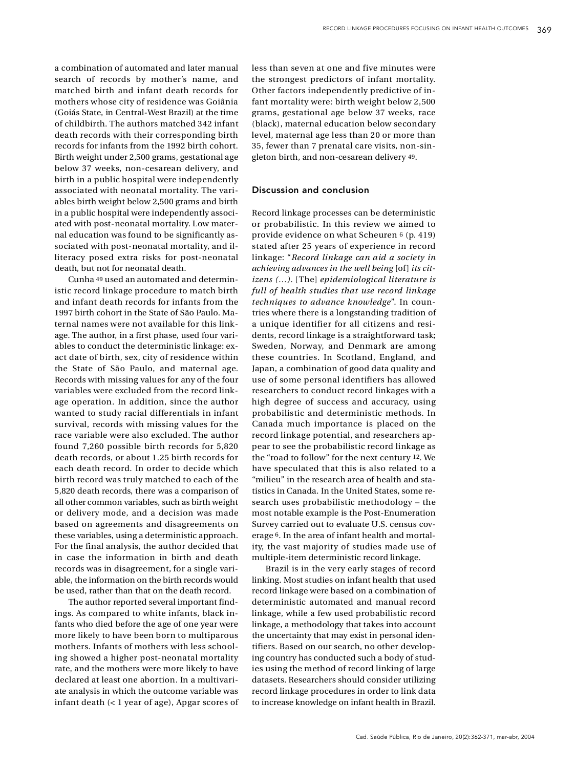a combination of automated and later manual search of records by mother's name, and matched birth and infant death records for mothers whose city of residence was Goiânia (Goiás State, in Central-West Brazil) at the time of childbirth. The authors matched 342 infant death records with their corresponding birth records for infants from the 1992 birth cohort. Birth weight under 2,500 grams, gestational age below 37 weeks, non-cesarean delivery, and birth in a public hospital were independently associated with neonatal mortality. The variables birth weight below 2,500 grams and birth in a public hospital were independently associated with post-neonatal mortality. Low maternal education was found to be significantly associated with post-neonatal mortality, and illiteracy posed extra risks for post-neonatal death, but not for neonatal death.

Cunha 49 used an automated and deterministic record linkage procedure to match birth and infant death records for infants from the 1997 birth cohort in the State of São Paulo. Maternal names were not available for this linkage. The author, in a first phase, used four variables to conduct the deterministic linkage: exact date of birth, sex, city of residence within the State of São Paulo, and maternal age. Records with missing values for any of the four variables were excluded from the record linkage operation. In addition, since the author wanted to study racial differentials in infant survival, records with missing values for the race variable were also excluded. The author found  $7.260$  possible birth records for  $5.820$ death records, or about 1.25 birth records for each death record. In order to decide which birth record was truly matched to each of the 5,820 death records, there was a comparison of all other common variables, such as birth weight or delivery mode, and a decision was made based on agreements and disagreements on these variables, using a deterministic approach. For the final analysis, the author decided that in case the information in birth and death records was in disagreement, for a single variable, the information on the birth records would be used, rather than that on the death record.

The author reported several important findings. As compared to white infants, black infants who died before the age of one year were more likely to have been born to multiparous mothers. Infants of mothers with less schooling showed a higher post-neonatal mortality rate, and the mothers were more likely to have declared at least one abortion. In a multivariate analysis in which the outcome variable was infant death (< 1 year of age), Apgar scores of less than seven at one and five minutes were the strongest predictors of infant mortality. Other factors independently predictive of infant mortality were: birth weight below 2,500 grams, gestational age below 37 weeks, race (black), maternal education below secondary level, maternal age less than 20 or more than 35, fewer than 7 prenatal care visits, non-singleton birth, and non-cesarean delivery 49.

## Discussion and conclusion

Record linkage processes can be deterministic or probabilistic. In this review we aimed to provide evidence on what Scheuren 6 (p. 419) stated after 25 years of experience in record linkage: "*Record linkage can aid a society in achieving advances in the well being* [of] *its citizens (...)*. [The] *epidemiological literature is* full of health studies that use record linkage *techniques to advance knowledge*". In countries where there is a longstanding tradition of a unique identifier for all citizens and residents, record linkage is a straightforward task; Sweden, Norway, and Denmark are among these countries. In Scotland, England, and Japan, a combination of good data quality and use of some personal identifiers has allowed researchers to conduct record linkages with a high degree of success and accuracy, using p robabilistic and deterministic methods. In Canada much importance is placed on the record linkage potential, and researchers appear to see the probabilistic record linkage as the "road to follow" for the next century 12. We have speculated that this is also related to a "milieu" in the research area of health and statistics in Canada. In the United States, some research uses probabilistic methodology - the most notable example is the Post-Enumeration Survey carried out to evaluate U.S. census coverage  $6$ . In the area of infant health and mortality, the vast majority of studies made use of multiple-item deterministic record linkage.

Brazil is in the very early stages of record linking. Most studies on infant health that used record linkage were based on a combination of deterministic automated and manual record linkage, while a few used probabilistic record linkage, a methodology that takes into account the uncertainty that may exist in personal identifiers. Based on our search, no other developing country has conducted such a body of studies using the method of record linking of large datasets. Researchers should consider utilizing record linkage procedures in order to link data to increase knowledge on infant health in Brazil.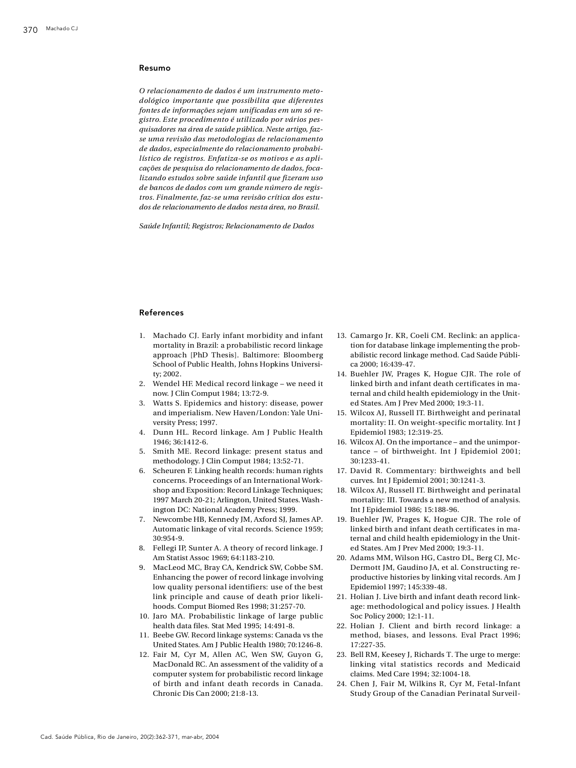#### Resumo

*O relacionamento de dados é um instrumento metodológico importante que possibilita que diferentes fontes de informações sejam unificadas em um só re*gistro. Este procedimento é utilizado por vários pes*quisadores na área de saúde pública. Neste artigo, faz*se uma revisão das metodologias de relacionamento de dados, especialmente do relacionamento probabilístico de registros. Enfatiza-se os motivos e as aplicações de pesquisa do relacionamento de dados, foca*lizando estudos sobre saúde infantil que fize ram uso* de bancos de dados com um grande número de regis*t ro s . Fi n a l m e n t e , faz-se uma revisão crítica dos estudos de relacionamento de dados nesta áre a , no Bra s i l .*

 $Saide$  *Infantil: Registros: Relacionamento de Dados* 

#### **References**

- 1. Machado CJ. Early infant morbidity and infant mortality in Brazil: a probabilistic record linkage approach [PhD Thesis]. Baltimore: Bloomberg School of Public Health, Johns Hopkins Universitv: 2002.
- 2. Wendel HF. Medical record linkage we need it now. J Clin Comput 1984; 13:72-9.
- 3. Watts S. Epidemics and history: disease, power and imperialism. New Haven/London: Yale University Press; 1997.
- 4. Dunn HL. Record linkage. Am J Public Health 1946; 36:1412-6.
- 5. Smith ME. Record linkage: present status and methodology. J Clin Comput 1984; 13:52-71.
- 6. Scheuren F. Linking health records: human rights concerns. Proceedings of an International Workshop and Exposition: Record Linkage Techniques; 1997 March 20-21; Arlington, United States. Washington DC: National Academy Press; 1999.
- 7. Newcombe HB, Kennedy JM, Axford SJ, James AP. Automatic linkage of vital records. Science 1959;  $30.954 - 9$
- 8. Fellegi IP, Sunter A. A theory of record linkage. J Am Statist Assoc 1969; 64:1183-210.
- 9. MacLeod MC, Bray CA, Kendrick SW, Cobbe SM. Enhancing the power of record linkage involving low quality personal identifiers: use of the best link principle and cause of death prior likelihoods. Comput Biomed Res 1998; 31:257-70.
- 10. Jaro MA. Probabilistic linkage of large public health data files. Stat Med 1995; 14:491-8.
- 11. Beebe GW. Record linkage systems: Canada vs the United States. Am J Public Health 1980; 70:1246-8.
- 12. Fair M, Cyr M, Allen AC, Wen SW, Guyon G, MacDonald RC. An assessment of the validity of a computer system for probabilistic record linkage of birth and infant death records in Canada. Chronic Dis Can 2000; 21:8-13.
- 13. Camargo Jr. KR, Coeli CM. Reclink: an application for database linkage implementing the probabilistic record linkage method. Cad Saúde Pública 2000; 16:439-47.
- 14. Buehler JW, Prages K, Hogue CJR, The role of linked birth and infant death certificates in maternal and child health epidemiology in the United States. Am J Prev Med 2000; 19:3-11.
- 15. Wilcox AJ, Russell IT. Birthweight and perinatal mortality: II. On weight-specific mortality. Int J Epidemiol 1983; 12:319-25.
- 16. Wilcox AJ. On the importance and the unimportance - of birthweight. Int J Epidemiol 2001;  $30:1233-41$ .
- 17. David R. Commentary: birthweights and bell curves. Int J Epidemiol 2001; 30:1241-3.
- 18. Wilcox AJ, Russell IT. Birthweight and perinatal mortality: III. Towards a new method of analysis. Int J Epidemiol 1986; 15:188-96.
- 19. Buehler JW, Prages K, Hogue CJR. The role of linked birth and infant death certificates in maternal and child health epidemiology in the United States. Am J Prev Med 2000; 19:3-11.
- 20. Adams MM, Wilson HG, Castro DL, Berg CJ, Mc-Dermott JM, Gaudino JA, et al. Constructing reproductive histories by linking vital records. Am J Epidemiol 1997; 145:339-48.
- 21. Holian J. Live birth and infant death record linkage: methodological and policy issues. J Health Soc Policy 2000; 12:1-11.
- 22. Holian J. Client and birth record linkage: a method, biases, and lessons. Eval Pract 1996; 17:227-35.
- 23. Bell RM, Keesey J, Richards T. The urge to merge: linking vital statistics records and Medicaid claims. Med Care 1994: 32:1004-18.
- 24. Chen J, Fair M, Wilkins R, Cyr M, Fetal-Infant Study Group of the Canadian Perinatal Surveil-